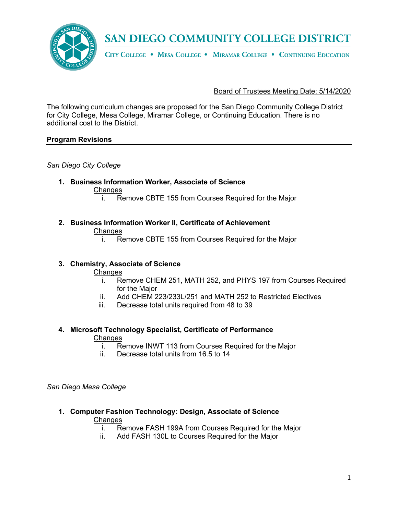

CITY COLLEGE . MESA COLLEGE . MIRAMAR COLLEGE . CONTINUING EDUCATION

### Board of Trustees Meeting Date: 5/14/2020

The following curriculum changes are proposed for the San Diego Community College District for City College, Mesa College, Miramar College, or Continuing Education. There is no additional cost to the District.

#### **Program Revisions**

*San Diego City College*

- **1. Business Information Worker, Associate of Science Changes** 
	- i. Remove CBTE 155 from Courses Required for the Major
- **2. Business Information Worker II, Certificate of Achievement Changes** 
	- i. Remove CBTE 155 from Courses Required for the Major

#### **3. Chemistry, Associate of Science**

**Changes** 

- i. Remove CHEM 251, MATH 252, and PHYS 197 from Courses Required for the Major
- ii. Add CHEM 223/233L/251 and MATH 252 to Restricted Electives
- iii. Decrease total units required from 48 to 39

#### **4. Microsoft Technology Specialist, Certificate of Performance**

**Changes** 

- i. Remove INWT 113 from Courses Required for the Major
- ii. Decrease total units from 16.5 to 14

*San Diego Mesa College*

- **1. Computer Fashion Technology: Design, Associate of Science Changes** 
	- i. Remove FASH 199A from Courses Required for the Major
	- ii. Add FASH 130L to Courses Required for the Major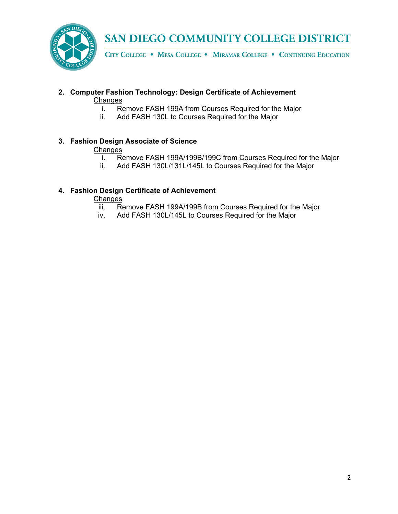

CITY COLLEGE . MESA COLLEGE . MIRAMAR COLLEGE . CONTINUING EDUCATION

## **2. Computer Fashion Technology: Design Certificate of Achievement**

**Changes** 

- i. Remove FASH 199A from Courses Required for the Major
- ii. Add FASH 130L to Courses Required for the Major

## **3. Fashion Design Associate of Science**

### **Changes**

- i. Remove FASH 199A/199B/199C from Courses Required for the Major
- ii. Add FASH 130L/131L/145L to Courses Required for the Major

## **4. Fashion Design Certificate of Achievement**

**Changes** 

- iii. Remove FASH 199A/199B from Courses Required for the Major
- iv. Add FASH 130L/145L to Courses Required for the Major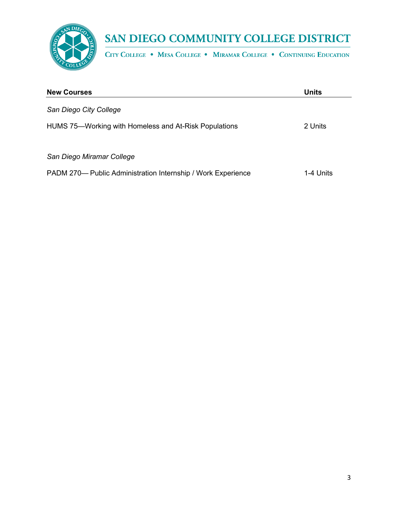

CITY COLLEGE . MESA COLLEGE . MIRAMAR COLLEGE . CONTINUING EDUCATION

| <b>New Courses</b>                                           | <b>Units</b> |
|--------------------------------------------------------------|--------------|
| San Diego City College                                       |              |
| HUMS 75—Working with Homeless and At-Risk Populations        | 2 Units      |
| San Diego Miramar College                                    |              |
| PADM 270— Public Administration Internship / Work Experience | 1-4 Units    |